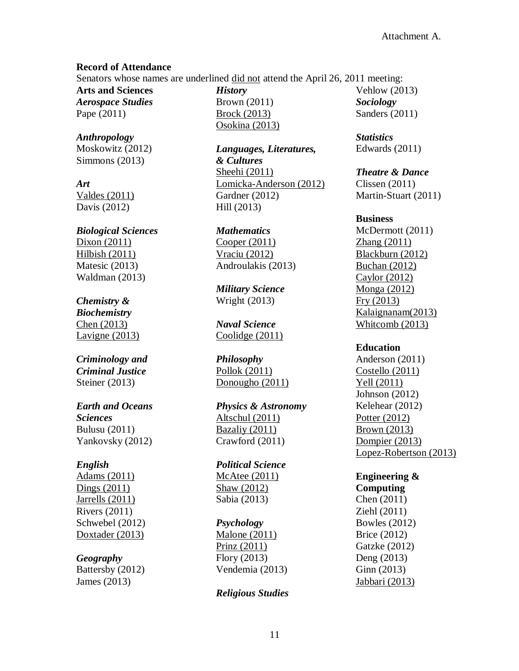## **Record of Attendance**

Senators whose names are underlined did not attend the April 26, 2011 meeting:

**Arts and Sciences** *Aerospace Studies* Pape (2011)

*Anthropology* Moskowitz (2012) Simmons (2013)

*Art* Valdes (2011) Davis (2012)

*Biological Sciences* Dixon (2011) Hilbish (2011) Matesic (2013) Waldman (2013)

# *Chemistry &*

*Biochemistry* Chen (2013) Lavigne (2013)

## *Criminology and Criminal Justice* Steiner (2013)

# *Earth and Oceans*

*Sciences* Bulusu (2011) Yankovsky (2012)

## *English*

Adams (2011) Dings (2011) Jarrells (2011) Rivers (2011) Schwebel (2012) Doxtader (2013)

# *Geography*

Battersby (2012) James (2013)

*History* Brown (2011) Brock (2013) Osokina (2013)

*Languages, Literatures, & Cultures* Sheehi (2011) Lomicka-Anderson (2012) Gardner (2012) Hill (2013)

*Mathematics* Cooper (2011) Vraciu (2012) Androulakis (2013)

*Military Science* Wright (2013)

*Naval Science* Coolidge (2011)

*Philosophy* Pollok (2011) Donougho (2011)

*Physics & Astronomy* Altschul (2011) Bazaliy (2011) Crawford (2011)

*Political Science* McAtee (2011) Shaw (2012) Sabia (2013)

# *Psychology*

Malone (2011) Prinz (2011) Flory (2013) Vendemia (2013)

# *Religious Studies*

Vehlow (2013) *Sociology* Sanders (2011)

*Statistics* Edwards (2011)

## *Theatre & Dance*

Clissen (2011) Martin-Stuart (2011)

## **Business**

McDermott (2011) Zhang (2011) Blackburn (2012) Buchan (2012) Caylor (2012) Monga (2012) Fry (2013) Kalaignanam(2013) Whitcomb (2013)

# **Education**

Anderson (2011) Costello (2011) Yell (2011) Johnson (2012) Kelehear (2012) Potter (2012) Brown (2013) Dompier (2013) Lopez-Robertson (2013)

**Engineering & Computing** Chen (2011) Ziehl (2011) Bowles (2012) Brice (2012) Gatzke (2012) Deng (2013) Ginn (2013) Jabbari (2013)